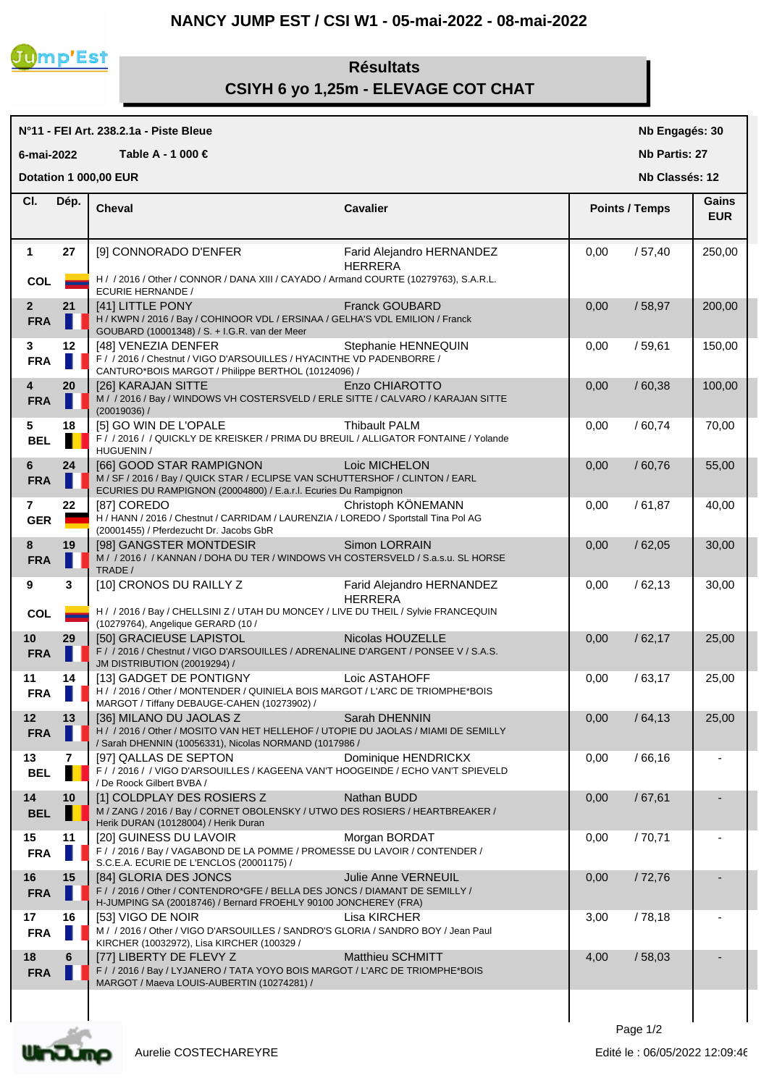## **NANCY JUMP EST / CSI W1 - 05-mai-2022 - 08-mai-2022**



## **Résultats CSIYH 6 yo 1,25m - ELEVAGE COT CHAT**

## **N°11 - FEI Art. 238.2.1a - Piste Bleue Cheval Cavalier Cl. Nb Engagés: 30 Nb Partis: 27 Nb Classés: 12 Gains 6-mai-2022 Table A - 1 000 € Points / Temps EUR Dotation 1 000,00 EUR**  Dép. **Cheval 1** Farid Alejandro HERNANDEZ **27** [9] CONNORADO D'ENFER 0,00 / 57,40 250,00 HERRERA COL **H** / / 2016 / Other / CONNOR / DANA XIII / CAYADO / Armand COURTE (10279763), S.A.R.L. ECURIE HERNANDE / **2 21 EXECUTELL PONY Franck GOUBARD 1 0.00** / 58,97 200,00 **FRA H** H / KWPN / 2016 / Bay / COHINOOR VDL / ERSINAA / GELHA'S VDL EMILION / Franck GOUBARD (10001348) / S. + I.G.R. van der Meer **3 12** | [48] VENEZIA DENFER Stephanie HENNEQUIN | 0,00 / 59,61 | 150,00 FRA **F** / / 2016 / Chestnut / VIGO D'ARSOUILLES / HYACINTHE VD PADENBORRE / CANTURO\*BOIS MARGOT / Philippe BERTHOL (10124096) / **4 20**  $\begin{bmatrix} 20 \end{bmatrix}$  [26] KARAJAN SITTE ENZO CHIAROTTO **1, 100,00**  $\begin{bmatrix} 0.00 \end{bmatrix}$   $\begin{bmatrix} 60,38 \end{bmatrix}$  100,00 **FRA** M / / 2016 / Bay / WINDOWS VH COSTERSVELD / ERLE SITTE / CALVARO / KARAJAN SITTE (20019036) / **5 18** [5] GO WIN DE L'OPALE Thibault PALM 0,00 / 60,74 70,00 **BEL F** / / 2016 / / QUICKLY DE KREISKER / PRIMA DU BREUIL / ALLIGATOR FONTAINE / Yolande HUGUENIN / **6 24** [66] GOOD STAR RAMPIGNON Loic MICHELON 0,00 / 60,76 55,00 **FRA** M/SF/2016/Bay/QUICK STAR/ECLIPSE VAN SCHUTTERSHOF/CLINTON/EARL ECURIES DU RAMPIGNON (20004800) / E.a.r.l. Ecuries Du Rampignon **7 22** [87] COREDO **Christoph KÖNEMANN** 10,00 / 61,87 40,00 GER **H** / HANN / 2016 / Chestnut / CARRIDAM / LAURENZIA / LOREDO / Sportstall Tina Pol AG (20001455) / Pferdezucht Dr. Jacobs GbR **8 19** | [98] GANGSTER MONTDESIR Simon LORRAIN | 0,00 / 62,05 | 30,00 **FRA** M / 2016 / / KANNAN / DOHA DU TER / WINDOWS VH COSTERSVELD / S.a.s.u. SL HORSE TRADE / **9** Farid Alejandro HERNANDEZ **3** [10] CRONOS DU RAILLY Z 0,00 / 62,13 30,00 HERRERA COL  $\begin{array}{|l|}\n\hline\n\end{array}$  H / / 2016 / Bay / CHELLSINI Z / UTAH DU MONCEY / LIVE DU THEIL / Sylvie FRANCEQUIN (10279764), Angelique GERARD (10 / 10 **29** | [50] GRACIEUSE LAPISTOL Nicolas HOUZELLE | 0,00 / 62,17 | 25,00 FRA F / 2016 / Chestnut / VIGO D'ARSOUILLES / ADRENALINE D'ARGENT / PONSEE V / S.A.S. JM DISTRIBUTION (20019294) / **11 14**  $\begin{array}{|c|c|c|c|c|c|}\n\hline\n111 14 131 \text{GADGET DE PONTIGNY} & \text{Loic ASTAHOFF} & \text{O,00} & \text{/63,17} & \text{/25,00} \\
\hline\n\end{array}$ **FRA**  $\blacksquare$  H /  $\blacksquare$  / 2016 / Other / MONTENDER / QUINIELA BOIS MARGOT / L'ARC DE TRIOMPHE\*BOIS MARGOT / Tiffany DEBAUGE-CAHEN (10273902) / **12 13** [36] MILANO DU JAOLAS Z Sarah DHENNIN 0,00 / 64,13 25,00 FRA **N** H / / 2016 / Other / MOSITO VAN HET HELLEHOF / UTOPIE DU JAOLAS / MIAMI DE SEMILLY / Sarah DHENNIN (10056331), Nicolas NORMAND (1017986 / **13 7** [97] QALLAS DE SEPTON Dominique HENDRICKX 0,00 / 66,16 - **BEL** F / / 2016 / / VIGO D'ARSOUILLES / KAGEENA VAN'T HOOGEINDE / ECHO VAN'T SPIEVELD / De Roock Gilbert BVBA / **14 10**  $\begin{bmatrix} 1 \end{bmatrix}$  COLDPLAY DES ROSIERS Z Nathan BUDD **1.000 1.000 1.000** 167,61 **BEL** M / ZANG / 2016 / Bay / CORNET OBOLENSKY / UTWO DES ROSIERS / HEARTBREAKER / Herik DURAN (10128004) / Herik Duran **15 11**  $\begin{bmatrix} 20 \end{bmatrix}$  GUINESS DU LAVOIR Morgan BORDAT  $\begin{bmatrix} 0,00 & /70,71 \\ -1,0,00 & /70,71 \end{bmatrix}$ **FRA** F / / 2016 / Bay / VAGABOND DE LA POMME / PROMESSE DU LAVOIR / CONTENDER / S.C.E.A. ECURIE DE L'ENCLOS (20001175) / **16 15** [84] GLORIA DES JONCS Julie Anne VERNEUIL 0,00 / 72,76 - **FRA** F / / 2016 / Other / CONTENDRO\*GFE / BELLA DES JONCS / DIAMANT DE SEMILLY / H-JUMPING SA (20018746) / Bernard FROEHLY 90100 JONCHEREY (FRA) **17 16** [53] VIGO DE NOIR Lisa KIRCHER 3,00 / 78,18 - **FRA** M / / 2016 / Other / VIGO D'ARSOUILLES / SANDRO'S GLORIA / SANDRO BOY / Jean Paul KIRCHER (10032972), Lisa KIRCHER (100329 / **18 6**  $\begin{bmatrix} 77 \end{bmatrix}$  LIBERTY DE FLEVY Z Matthieu SCHMITT 4 4,00 / 58,03



Aurelie COSTECHAREYRE

MARGOT / Maeva LOUIS-AUBERTIN (10274281) /

**FRA** F / / 2016 / Bay / LYJANERO / TATA YOYO BOIS MARGOT / L'ARC DE TRIOMPHE\*BOIS